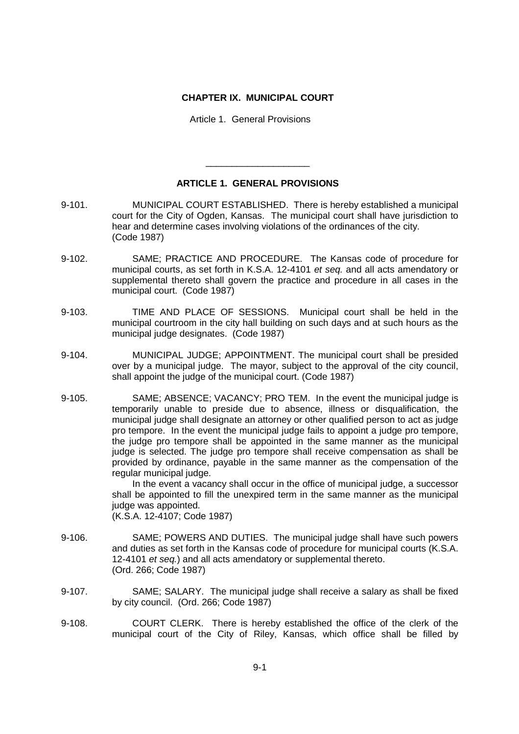## **CHAPTER IX. MUNICIPAL COURT**

Article 1. General Provisions

## **ARTICLE 1. GENERAL PROVISIONS**

\_\_\_\_\_\_\_\_\_\_\_\_\_\_\_\_\_\_\_\_

- 9-101. MUNICIPAL COURT ESTABLISHED. There is hereby established a municipal court for the City of Ogden, Kansas. The municipal court shall have jurisdiction to hear and determine cases involving violations of the ordinances of the city. (Code 1987)
- 9-102. SAME; PRACTICE AND PROCEDURE. The Kansas code of procedure for municipal courts, as set forth in K.S.A. 12-4101 *et seq.* and all acts amendatory or supplemental thereto shall govern the practice and procedure in all cases in the municipal court. (Code 1987)
- 9-103. TIME AND PLACE OF SESSIONS. Municipal court shall be held in the municipal courtroom in the city hall building on such days and at such hours as the municipal judge designates. (Code 1987)
- 9-104. MUNICIPAL JUDGE; APPOINTMENT. The municipal court shall be presided over by a municipal judge. The mayor, subject to the approval of the city council, shall appoint the judge of the municipal court. (Code 1987)
- 9-105. SAME; ABSENCE; VACANCY; PRO TEM. In the event the municipal judge is temporarily unable to preside due to absence, illness or disqualification, the municipal judge shall designate an attorney or other qualified person to act as judge pro tempore. In the event the municipal judge fails to appoint a judge pro tempore, the judge pro tempore shall be appointed in the same manner as the municipal judge is selected. The judge pro tempore shall receive compensation as shall be provided by ordinance, payable in the same manner as the compensation of the regular municipal judge.

In the event a vacancy shall occur in the office of municipal judge, a successor shall be appointed to fill the unexpired term in the same manner as the municipal judge was appointed.

(K.S.A. 12-4107; Code 1987)

- 9-106. SAME; POWERS AND DUTIES. The municipal judge shall have such powers and duties as set forth in the Kansas code of procedure for municipal courts (K.S.A. 12-4101 *et seq.*) and all acts amendatory or supplemental thereto. (Ord. 266; Code 1987)
- 9-107. SAME; SALARY. The municipal judge shall receive a salary as shall be fixed by city council. (Ord. 266; Code 1987)
- 9-108. COURT CLERK. There is hereby established the office of the clerk of the municipal court of the City of Riley, Kansas, which office shall be filled by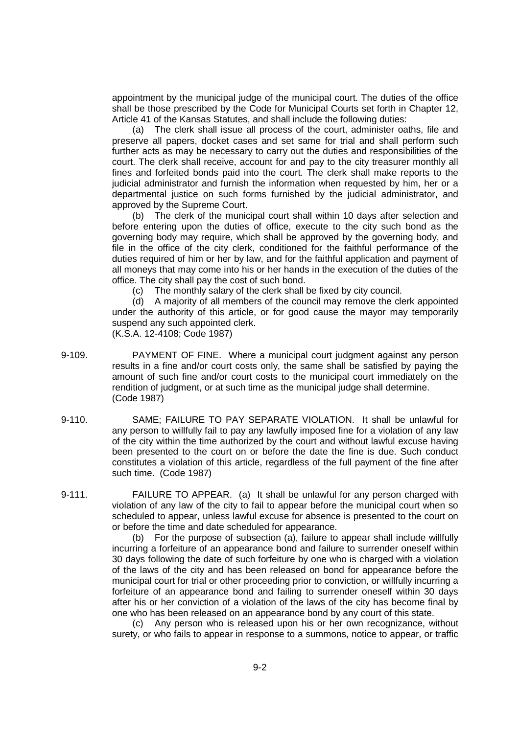appointment by the municipal judge of the municipal court. The duties of the office shall be those prescribed by the Code for Municipal Courts set forth in Chapter 12, Article 41 of the Kansas Statutes, and shall include the following duties:

(a) The clerk shall issue all process of the court, administer oaths, file and preserve all papers, docket cases and set same for trial and shall perform such further acts as may be necessary to carry out the duties and responsibilities of the court. The clerk shall receive, account for and pay to the city treasurer monthly all fines and forfeited bonds paid into the court. The clerk shall make reports to the judicial administrator and furnish the information when requested by him, her or a departmental justice on such forms furnished by the judicial administrator, and approved by the Supreme Court.

(b) The clerk of the municipal court shall within 10 days after selection and before entering upon the duties of office, execute to the city such bond as the governing body may require, which shall be approved by the governing body, and file in the office of the city clerk, conditioned for the faithful performance of the duties required of him or her by law, and for the faithful application and payment of all moneys that may come into his or her hands in the execution of the duties of the office. The city shall pay the cost of such bond.

(c) The monthly salary of the clerk shall be fixed by city council.

(d) A majority of all members of the council may remove the clerk appointed under the authority of this article, or for good cause the mayor may temporarily suspend any such appointed clerk.

- (K.S.A. 12-4108; Code 1987)
- 9-109. PAYMENT OF FINE. Where a municipal court judgment against any person results in a fine and/or court costs only, the same shall be satisfied by paying the amount of such fine and/or court costs to the municipal court immediately on the rendition of judgment, or at such time as the municipal judge shall determine. (Code 1987)
- 9-110. SAME; FAILURE TO PAY SEPARATE VIOLATION. It shall be unlawful for any person to willfully fail to pay any lawfully imposed fine for a violation of any law of the city within the time authorized by the court and without lawful excuse having been presented to the court on or before the date the fine is due. Such conduct constitutes a violation of this article, regardless of the full payment of the fine after such time. (Code 1987)
- 9-111. FAILURE TO APPEAR. (a) It shall be unlawful for any person charged with violation of any law of the city to fail to appear before the municipal court when so scheduled to appear, unless lawful excuse for absence is presented to the court on or before the time and date scheduled for appearance.

(b) For the purpose of subsection (a), failure to appear shall include willfully incurring a forfeiture of an appearance bond and failure to surrender oneself within 30 days following the date of such forfeiture by one who is charged with a violation of the laws of the city and has been released on bond for appearance before the municipal court for trial or other proceeding prior to conviction, or willfully incurring a forfeiture of an appearance bond and failing to surrender oneself within 30 days after his or her conviction of a violation of the laws of the city has become final by one who has been released on an appearance bond by any court of this state.

(c) Any person who is released upon his or her own recognizance, without surety, or who fails to appear in response to a summons, notice to appear, or traffic